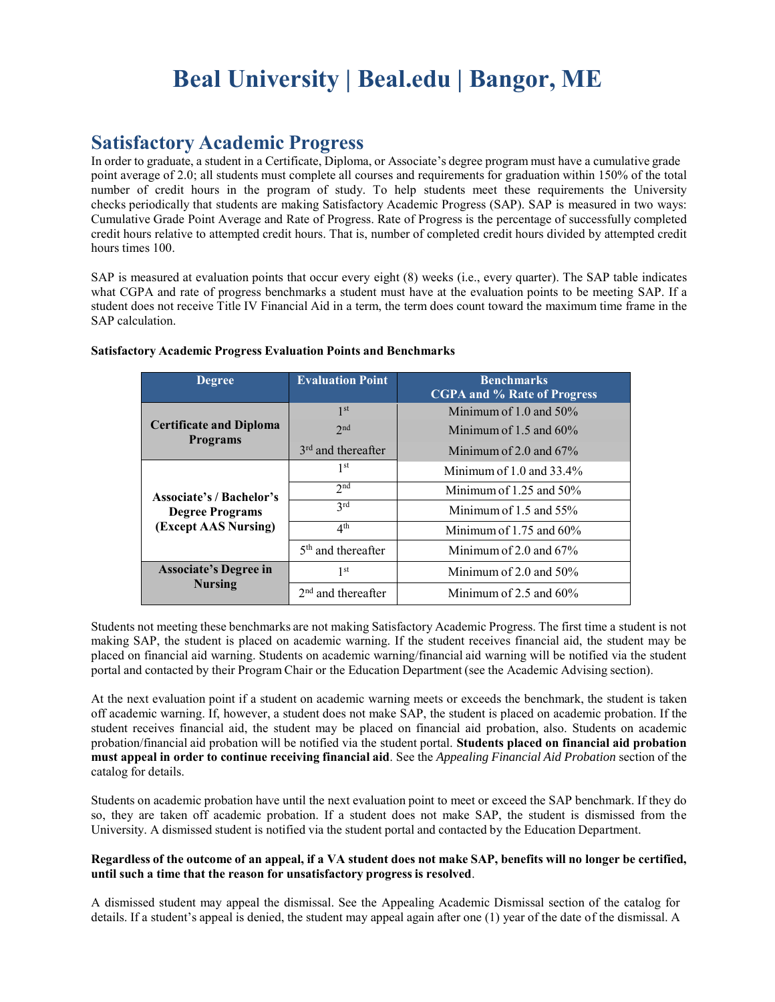# **Beal University | Beal.edu | Bangor, ME**

# **Satisfactory Academic Progress**

In order to graduate, a student in a Certificate, Diploma, or Associate's degree program must have a cumulative grade point average of 2.0; all students must complete all courses and requirements for graduation within 150% of the total number of credit hours in the program of study. To help students meet these requirements the University checks periodically that students are making Satisfactory Academic Progress (SAP). SAP is measured in two ways: Cumulative Grade Point Average and Rate of Progress. Rate of Progress is the percentage of successfully completed credit hours relative to attempted credit hours. That is, number of completed credit hours divided by attempted credit hours times 100.

SAP is measured at evaluation points that occur every eight (8) weeks (i.e., every quarter). The SAP table indicates what CGPA and rate of progress benchmarks a student must have at the evaluation points to be meeting SAP. If a student does not receive Title IV Financial Aid in a term, the term does count toward the maximum time frame in the SAP calculation.

| <b>Degree</b>                                                                     | <b>Evaluation Point</b>        | <b>Benchmarks</b><br><b>CGPA and % Rate of Progress</b> |
|-----------------------------------------------------------------------------------|--------------------------------|---------------------------------------------------------|
| <b>Certificate and Diploma</b><br><b>Programs</b>                                 | 1 <sup>st</sup>                | Minimum of 1.0 and $50\%$                               |
|                                                                                   | 2 <sub>nd</sub>                | Minimum of 1.5 and $60\%$                               |
|                                                                                   | 3 <sup>rd</sup> and thereafter | Minimum of 2.0 and $67\%$                               |
| <b>Associate's / Bachelor's</b><br><b>Degree Programs</b><br>(Except AAS Nursing) | 1 <sup>st</sup>                | Minimum of $1.0$ and $33.4\%$                           |
|                                                                                   | 2 <sub>nd</sub>                | Minimum of 1.25 and $50\%$                              |
|                                                                                   | 2rd                            | Minimum of 1.5 and $55\%$                               |
|                                                                                   | 4 <sup>th</sup>                | Minimum of 1.75 and $60\%$                              |
|                                                                                   | $5th$ and thereafter           | Minimum of 2.0 and $67\%$                               |
| <b>Associate's Degree in</b><br><b>Nursing</b>                                    | 1 <sup>st</sup>                | Minimum of 2.0 and $50\%$                               |
|                                                                                   | $2nd$ and thereafter           | Minimum of 2.5 and $60\%$                               |

#### **Satisfactory Academic Progress Evaluation Points and Benchmarks**

Students not meeting these benchmarks are not making Satisfactory Academic Progress. The first time a student is not making SAP, the student is placed on academic warning. If the student receives financial aid, the student may be placed on financial aid warning. Students on academic warning/financial aid warning will be notified via the student portal and contacted by their Program Chair or the Education Department (see the Academic Advising section).

At the next evaluation point if a student on academic warning meets or exceeds the benchmark, the student is taken off academic warning. If, however, a student does not make SAP, the student is placed on academic probation. If the student receives financial aid, the student may be placed on financial aid probation, also. Students on academic probation/financial aid probation will be notified via the student portal. **Students placed on financial aid probation must appeal in order to continue receiving financial aid**. See the *Appealing Financial Aid Probation* section of the catalog for details.

Students on academic probation have until the next evaluation point to meet or exceed the SAP benchmark. If they do so, they are taken off academic probation. If a student does not make SAP, the student is dismissed from the University. A dismissed student is notified via the student portal and contacted by the Education Department.

## **Regardless of the outcome of an appeal, if a VA student does not make SAP, benefits will no longer be certified, until such a time that the reason for unsatisfactory progress is resolved**.

A dismissed student may appeal the dismissal. See the Appealing Academic Dismissal section of the catalog for details. If a student's appeal is denied, the student may appeal again after one (1) year of the date of the dismissal. A